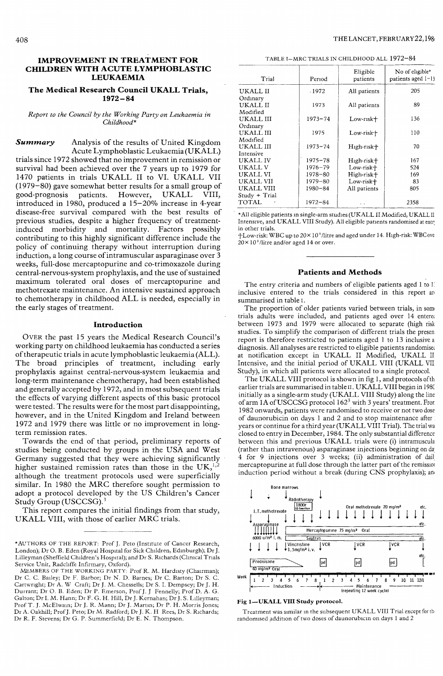## IMPROVEMENT IN TREATMENT FOR CHILDREN WITH ACUTE LYMPHOBLASTIC LEUKAEMIA

### The Medical Research Council UKALL Trials, 1972-84

Report to the Council by the Working Party on Leukaemia in Childhood\*

#### **Summary** Analysis of the results of United Kingdom Acute Lymphoblastic Leukaemia (UKALL)

trials since 1972 showed that no improvement in remission or survival had been achieved over the 7 years up to 1979 for 1470 patients in trials UKALL II to VI. UKALL VII (1979-80) gave somewhat better results for a small group of good-prognosis patients. However, UKALL VIII, patients. However, UKALL VIII, introduced in 1980, produced a 15-20% increase in 4-year disease-free survival compared with the best results of previous studies, despite a higher frequency of treatmentinduced morbidity and mortality. Factors possibly contributing to this highly significant difference include the policy of continuing therapy without interruption during induction, a long course of intramuscular asparaginase over 3 weeks, full-dose mercaptopurine and co-trimoxazole during central-nervous-system prophylaxis, and the use of sustained maximum tolerated oral doses of mercaptopurine and methotrexate maintenance. An intensive sustained approach to chemotherapy in childhood ALL is needed, especially in the early stages of treatment.

#### Introduction

OVER the past 15 years the Medical Research Council's working party on childhood leukaemia has conducted a series of therapeutic trials in acute lymphoblastic leukaemia (ALL). The broad principles of treatment, including early prophylaxis against central-nervous-system leukaemia and long-term maintenance chemotherapy, had been established and generally accepted by 1972, and in most subsequent trials<br>the effects of varying different aspects of this basic protocol were tested. The results were for the most part disappointing, however, and in the United Kingdom and Ireland between 1972 and 1979 there was little or no improvement in long term remission rates.

Towards the end of that period, preliminary reports of studies being conducted by groups in the USA and West Germany suggested that they were achieving significantly higher sustained remission rates than those in the  $UK<sub>1</sub><sup>1,2</sup>$ although the treatment protocols used were superficially similar. In 1980 the MRC therefore sought permission to adopt a protocol developed by the US Children's Cancer Study Group (USCCSG).<sup>3</sup>

This report compares the initial findings from that study, UKALL VIII, with those of earlier MRC trials.

TABLE I-MRC TRIALS IN CHILDHOOD ALL 1972-84

| Trial         | Period      | Eligible<br>patients | No of eligible*<br>patients aged 1-13 |  |
|---------------|-------------|----------------------|---------------------------------------|--|
| UKALL II      | .1972       | All patients         | 205                                   |  |
| Ordinary      |             |                      |                                       |  |
| UKALL II      | 1973        | All patients         | 89                                    |  |
| Modified      |             |                      |                                       |  |
| UKALL III     | $1973 - 74$ | Low-risk+            | 136                                   |  |
| Ordinary      |             |                      |                                       |  |
| UKALL III     | 1975        | Low-risk+            | 110                                   |  |
| Modified      |             |                      |                                       |  |
| UKALL III     | $1973 - 74$ | $High-risk+$         | 70                                    |  |
| Intensive     |             |                      |                                       |  |
| UKALL IV      | $1975 - 78$ | High-risk+           | 167                                   |  |
| UKALL V       | $1976 - 79$ | Low-risk+            | 524                                   |  |
| UKALL VI      | 1978-80     | High-risk+           | 169                                   |  |
| UKALL VII     | $1979 - 80$ | Low-risk+            | 83                                    |  |
| UKALL VIII    | $1980 - 84$ | All patients         | 805                                   |  |
| Study + Trial |             |                      |                                       |  |
| <b>TOTAL</b>  | $1972 - 84$ | . .                  | 2358                                  |  |

\*All eligible patients in single-arm studies (UKALL II Modified, UKALL III Intensive, and UKALL VIII Study). All eligible patients randomised at entry in other trials.

fLow-risk: WBC up to 20 x 10' /litre and aged under 14. High-risk: WBC over  $20 \times 10^9$ /litre and/or aged 14 or over.

#### Patients and Methods

The entry criteria and numbers of eligible patients aged 1 to 13 inclusive entered to the trials considered in this report an summarised in table I.

The proportion of older patients varied between trials, in some trials adults were included, and patients aged over 14 entered between 1973 and 1979 were allocated to separate (high risk) studies. To simplify the comparison of different trials the presen report is therefore restricted to patients aged 1 to 13 inclusive a diagnosis. All analyses are restricted to eligible patients randomised at notification except in UKALL II Modified, UKALL II Intensive, and the initial period of UKALL VIII (UKALL VIII Study), in which all patients were allocated to a single protocol.

The UKALL VIII protocol is shown in fig 1, and protocols of th earlier trials are summarised in table II. UKALL VIII began in 1980 initially as a single-arm study (UKALL VIII Study) along the line of arm 1A of USCCSG protocol 162<sup>3</sup> with 3 years' treatment. From 1982 onwards, patients were randomised to receive or not two dose of daunorubicin on days 1 and 2 and to stop maintenance after 2 years or continue for a third year (UKALL VIII Trial). The trial wa closed to entry in December, 1984. The only substantial difference between this and previous UKALL trials were (i) intramuscula (rather than intravenous) asparaginase injections beginning on day 4 for 9 injections over 3 weeks; (ii) administration of dail mercaptopurine at full dose through the latter part of the remission induction period without a break (during CNS prophylaxis); and



#### Fig 1-UKALL VIII Study protocol.

Treatment was similar in the subsequent UKALL VIII Trial except for the randomised addition of two doses of daunorubicin on days 1 and 2

<sup>\*</sup>AL'THORS OF THE REPORT: Prof J. Peto (Institute of Cancer Research, London); Dr 0. B. Eden (Royal Hospital for Sick Children, Edinburgh); Dr J. Lilleyman (Sheffield Children's Hospital); and Dr S. Richards (Clinical Tnals

Service Unit, Radcliffe Infirmary, Oxford).<br>MEMBERS OF THE WORKING PARTY: Prof R. M. Hardisty (Chairman);<br>Dr C. C. Bailey; Dr F. Barbor; Dr N. D. Barnes; Dr C. Barton; Dr S. C. Cartwnght; Dr A. W Craft; Dr J. M. Chessells; Dr S. I. Dempsey; Dr J. H. Durrant; Dr 0. B. Eden; Dr P. Emerson, Prof J. J Fennelly; Prof D. A. G. Galton; Dr L M. Hann; Dr F. G. H. Hill, Dr J. Kernahan; Dr J. S. Lilleyman; Prof T. J. McElwam; Dr J. R. Mann; Dr J. Martin; Dr P. H. Morris Jones; Dr A. Oakhill; Prof J. Peto; Dr M. Radford; Dr J. K. H Rees, Dr S. Richards; Dr R. F. Stevens; Dr G. P. Summerfield; Dr E. N. Thompson.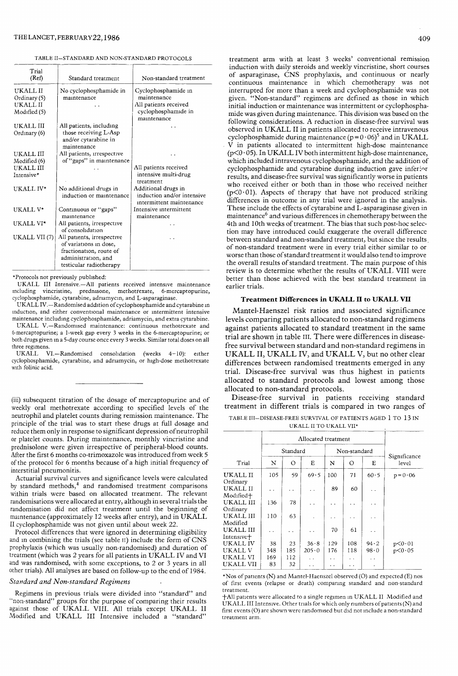TABLE II-STANDARD AND NON-STANDARD PROTOCOLS

| Trial<br>(Ref)                       | Standard treatment                                                                                                                | Non-standard treatment                                                        |
|--------------------------------------|-----------------------------------------------------------------------------------------------------------------------------------|-------------------------------------------------------------------------------|
| UKALL II<br>Ordinary (5)<br>UKALL II | No cyclophosphamide in<br>maintenance                                                                                             | Cyclophosphamide in<br>maintenance<br>All patients received                   |
| Modified (5)                         |                                                                                                                                   | cyclophosphamide in<br>maintenance                                            |
| UKALL III<br>Ordinary (6)            | All patients, including<br>those receiving L-Asp<br>and/or cytarabine in<br>maintenance                                           |                                                                               |
| UKALL III                            | All patients, irrespective                                                                                                        |                                                                               |
| Modified (6)                         | of "gaps" in maintenance                                                                                                          |                                                                               |
| UKALL III<br>Intensive*              |                                                                                                                                   | All patients received<br>intensive multi-drug<br>treatment                    |
| UKALL IV*                            | No additional drugs in<br>induction or maintenance                                                                                | Additional drugs in<br>induction and/or intensive<br>intermittent maintenance |
| UKALL V*                             | Continuous or "gaps"<br>maintenance                                                                                               | Intensive intermittent<br>maintenance                                         |
| UKALL VI*                            | All patients, irrespective<br>of consolidation                                                                                    |                                                                               |
| UKALL VII (7)                        | All patients, irrespective<br>of variations in dose,<br>fractionation, route of<br>administration, and<br>testicular radiotherapy |                                                                               |

\*Protocols not previously published: UKALL III Intensive.-All patients received intensive maintenance including vincristine, predmsone, methotrexate, 6-mercaptopurine,

UKALL IV.-Randomised addition of cyclophosphamide and cytarabine in induction, and either conventional maintenance or intermittent intensive maintenance including cyclophosphamide, adriamycin, and extra cytarabine. UKALL V.-Randomised maintenance: continuous methotrexate and

6-mercaptopurine; a 1-week gap every 3 weeks in the 6-mercaptopurine; or both drugs given in a 5-day course once every 3 weeks. Similar total doses on all three regimens.

UKALL VI.-Randomised consolidation (weeks 4-10): either cyclophosphamide, cytarabine, and adnamycin, or high-dose methotrexate with folinic acid.

(iii) subsequent titration of the dosage of mercaptopurine and of weekly oral methotrexate according to specified levels of the neutrophil and platelet counts during remission maintenance. The principle of the trial was to start these drugs at full dosage and reduce them only in response to significant depression of neutrophil or platelet counts. During maintenance, monthly vincristine and prednisolone were given irrespective of peripheral-blood counts. After the first 6 months co-trimoxazole was introduced from week 5 of the protocol for 6 months because of a high initial frequency of interstitial pneumonitis.

Actuarial survival curves and significance levels were calculated by standard methods, $4$  and randomised treatment comparisons within trials were based on allocated treatment. The relevant randomisations were allocated at entry, although in several trials the randomisation did not affect treatment until the beginning of maintenance (approximately 12 weeks after entry), and in UKALL II cyclophosphamide was not given until about week 22.

Protocol differences that were ignored in determining eligibility and in combining the trials (see table II) include the form of CNS prophylaxis (which was usually non-randomised) and duration of treatment (which was 2 years for all patients in UKALL IV and VI and was randomised, with some exceptions, to 2 or 3 years in all other trials). All analyses are based on follow-up to the end of 1984.

#### Standard and Non-standard Regimens

Regimens in previous trials were divided into "standard" and "non-standard" groups for the purpose of comparing their results against those of UKALL VIII. All trials except UKALL II Modified and UKALL III Intensive included a "standard"

treatment arm with at least 3 weeks' conventional remission induction with daily steroids and weekly vincristine, short courses of asparaginase, CNS prophylaxis, and continuous or nearly continuous maintenance in which chemotherapy was not interrupted for more than a week and cyclophosphamide was not given. "Non-standard" regimens are defined as those in which initial induction or maintenance was intermittent or cyclophosphamide was given during maintenance. This division was based on the following considerations. A reduction in disease-free survival was observed in UKALL II in patients allocated to receive intravenous cyclophosphamide during maintenance  $(p=0.06)^5$  and in UKALL V in patients allocated to intermittent high-dose maintenance ( $p$ <0.05). In UKALL IV both intermittent high-dose maintenance, which included intravenous cyclophosphamide, and the addition of cyclophosphamide and cytarabine during induction gave inferior results, and disease-free survival was significantly worse in patients who received either or both than in those who received neither  $(p<0.01)$ . Aspects of therapy that have not produced striking differences in outcome in any trial were ignored in the analysis. These include the effects of cytarabine and L-asparaginase given in maintenance<sup>6</sup> and various differences in chemotherapy between the 4th and 10th weeks of treatment. The bias that such post-hoc selection may have introduced could exaggerate the overall difference between standard and non-standard treatment, but since the results. of non-standard treatment were in every trial either similar to or worse than those of standard treatment it would also tend to improve the overall results of standard treatment. The main purpose of this review is to determine whether the results of UKALL VIII were better than those achieved with the best standard treatment in earlier trials.

# Treatment Differences in UKALL II to UKALL VII

Mantel-Haenszel risk ratios and associated significance levels comparing patients allocated to non-standard regimens against patients allocated to standard treatment in the same trial are shown in table III. There were differences in diseasefree survival between standard and non-standard regimens in UKALL II, UKALL IV, and UKALL V, but no other clear differences between randomised treatments emerged in any trial. Disease-free survival was thus highest in patients allocated to standard protocols and lowest among those allocated to non-standard protocols.

Disease-free survival in patients receiving standard treatment in different trials is compared in two ranges of

TABLE III—DISEASE-FREE SURVIVAL OF PATIENTS AGED 1 TO 13 IN

UKALL II TO UKALL VII\*

|                         | Allocated treatment |           |                                              |                                              |                                   |                 |                      |
|-------------------------|---------------------|-----------|----------------------------------------------|----------------------------------------------|-----------------------------------|-----------------|----------------------|
|                         | Standard            |           | Non-standard                                 |                                              |                                   | Significance    |                      |
| Trial                   | N                   | O         | E                                            | N                                            | O                                 | E               | level                |
| UKALL II<br>Ordinary    | 105                 | 59        | 69.5                                         | 100                                          | 71                                | 60.5            | $p = 0.06$           |
| UKALL II<br>Modified+   |                     | . .       |                                              | 89                                           | 60                                |                 |                      |
| UKALL III<br>Ordinary   | 136                 | 78        | $\ddot{\phantom{a}}$                         |                                              |                                   | . .             |                      |
| UKALL III<br>Modified   | 110                 | 63        |                                              | . .                                          |                                   |                 |                      |
| UKALL III<br>Intensive+ | . .                 |           |                                              | 70                                           | 61                                |                 |                      |
| UKALL IV<br>UKALL V     | 38<br>348           | 23<br>185 | 36.8<br>$205 \cdot 0$                        | 129<br>176                                   | 108<br>118                        | 94.2<br>98.0    | p < 0.01<br>p < 0.05 |
| UKALL VI<br>UKALL VII   | 169<br>83           | 112<br>32 | $\ddot{\phantom{a}}$<br>$\ddot{\phantom{a}}$ | $\ddot{\phantom{0}}$<br>$\ddot{\phantom{1}}$ | $\cdot$ .<br>$\ddot{\phantom{1}}$ | $\cdot$ $\cdot$ |                      |

\*Nos of patients (N) and Mantel-Haenszel observed (0) and expected (E) nos of first events (relapse or death) comparing standard and non-standard treatment.

All patients were allocated to a single regimen in UKALL II Modified and UKALL III Intensive. Other trials for which only numbers of patients (N) and first events (0) are shown were randomised but did not include a non-standard treatment arm.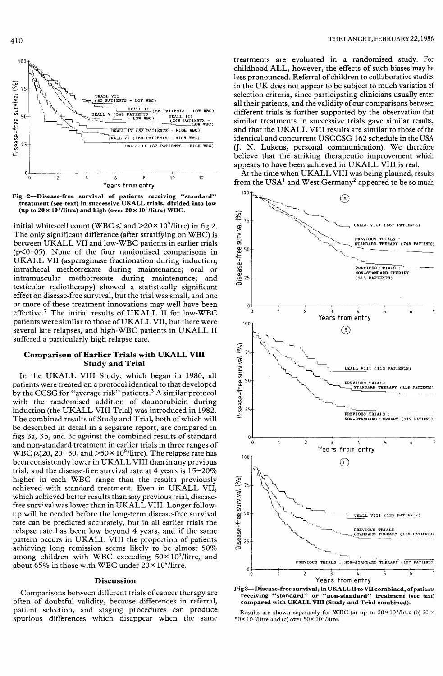

Fig 2-Disease-free survival of patients receiving "standard" treatment (see text) in successive UKALL trials, divided into low (up to  $20 \times 10^9$ /litre) and high (over  $20 \times 10^9$ /litre) WBC.

initial white-cell count (WBC  $\le$  and  $>20 \times 10^9$ /litre) in fig 2. The only significant difference (after stratifying on WBC) is between UKALL VII and low-WBC patients in earlier trials  $(p<0.05)$ . None of the four randomised comparisons in UKALL VII (asparaginase fractionation during induction; intrathecal methotrexate during maintenance; oral or intramuscular methotrexate during maintenance; and testicular radiotherapy) showed a statistically significant effect on disease-free survival, but the trial was small, and one or more of these treatment innovations may well have been effective.' The initial results of UKALL II for low-WBC patients were similar to those of UKALL VII, but there were several late relapses, and high-WBC patients in UKALL II suffered a particularly high relapse rate.

## Comparison of Earlier Trials with UKALL VIII Study and Trial

In the UKALL VIII Study, which began in 1980, all patients were treated on a protocol identical to that developed by the CCSG for "average risk" patients.<sup>3</sup> A similar protocol with the randomised addition of daunorubicin during induction (the UKALL VIII Trial) was introduced in 1982. The combined results of Study and Trial, both of which will be described in detail in a separate report, are compared in figs 3a, 3b, and 3c against the combined results of standard and non-standard treatment in earlier trials in three ranges of WBC ( $\leq$ 20, 20-50, and  $>$ 50  $\times$  10<sup>9</sup>/litre). The relapse rate has been consistently lower in UKALL VIII than in any previous trial, and the disease-free survival rate at 4 years is 15-20% higher in each WBC range than the results previously achieved with standard treatment. Even in UKALL VII, which achieved better results than any previous trial, diseasefree survival was lower than in UKALL VIII. Longer followup will be needed before the long-term disease-free survival rate can be predicted accurately, but in all earlier trials the relapse rate has been low beyond 4 years, and if the same pattern occurs in UKALL VIII the proportion of patients achieving long remission seems likely to be almost 50% among children with WBC exceeding  $50 \times 10^9$ /litre, and about 65% in those with WBC under  $20 \times 10^9$ /litre.

## Discussion

Comparisons between different trials of cancer therapy are often of doubtful validity, because differences in referral, patient selection, and staging procedures can produce spurious differences which disappear when the same treatments are evaluated in a randomised study. For childhood ALL, however, the effects of such biases may be less pronounced. Referral of children to collaborative studies in the UK does not appear to be subject to much variation of selection criteria, since participating clinicians usually enter all their patients, and the validity of our comparisons between different trials is further supported by the observation that similar treatments in successive trials gave similar results, and that the UKALL VIII results are similar to those of the identical and concurrent USCCSG 162 schedule in the USA (J. N. Lukens, personal communication). We therefore believe that the striking therapeutic improvement which appears to have been achieved in UKALL VIII is real.

At the time when UKALL VIII was being planned, results from the USA<sup>1</sup> and West Germany<sup>2</sup> appeared to be so much<br> $100 +$ 



Fig 3-Disease-free survival, in UKALL II to VII combined, of patients receiving "standard" or "non-standard" treatment (see text) compared with UKALL VIII (Study and Trial combined).

Results are shown separately for WBC (a) up to  $20 \times 10^9$ /litre (b) 20 to  $50 \times 10^9$ /litre and (c) over  $50 \times 10^9$ /litre.